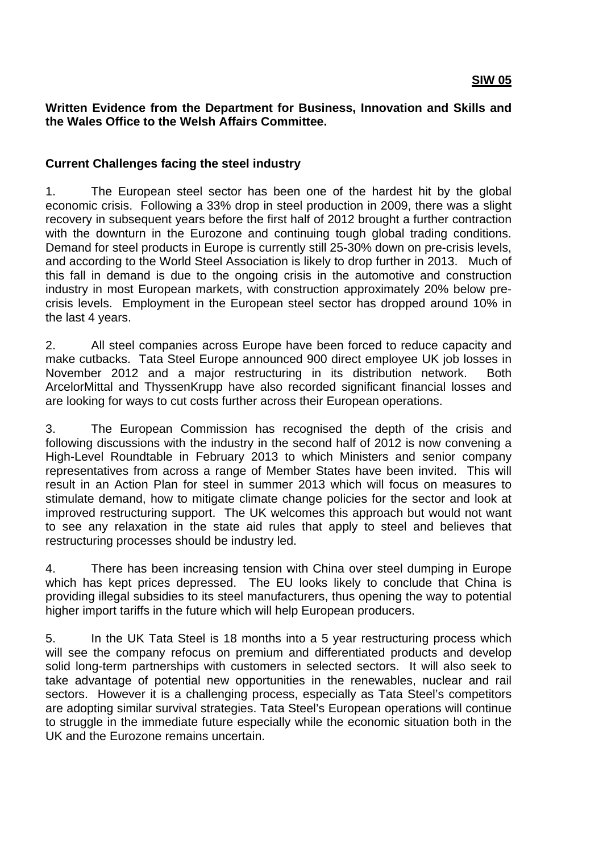#### **Written Evidence from the Department for Business, Innovation and Skills and the Wales Office to the Welsh Affairs Committee.**

## **Current Challenges facing the steel industry**

1. The European steel sector has been one of the hardest hit by the global economic crisis. Following a 33% drop in steel production in 2009, there was a slight recovery in subsequent years before the first half of 2012 brought a further contraction with the downturn in the Eurozone and continuing tough global trading conditions. Demand for steel products in Europe is currently still 25-30% down on pre-crisis levels, and according to the World Steel Association is likely to drop further in 2013. Much of this fall in demand is due to the ongoing crisis in the automotive and construction industry in most European markets, with construction approximately 20% below precrisis levels. Employment in the European steel sector has dropped around 10% in the last 4 years.

2. All steel companies across Europe have been forced to reduce capacity and make cutbacks. Tata Steel Europe announced 900 direct employee UK job losses in November 2012 and a major restructuring in its distribution network. Both ArcelorMittal and ThyssenKrupp have also recorded significant financial losses and are looking for ways to cut costs further across their European operations.

3. The European Commission has recognised the depth of the crisis and following discussions with the industry in the second half of 2012 is now convening a High-Level Roundtable in February 2013 to which Ministers and senior company representatives from across a range of Member States have been invited. This will result in an Action Plan for steel in summer 2013 which will focus on measures to stimulate demand, how to mitigate climate change policies for the sector and look at improved restructuring support. The UK welcomes this approach but would not want to see any relaxation in the state aid rules that apply to steel and believes that restructuring processes should be industry led.

4. There has been increasing tension with China over steel dumping in Europe which has kept prices depressed. The EU looks likely to conclude that China is providing illegal subsidies to its steel manufacturers, thus opening the way to potential higher import tariffs in the future which will help European producers.

5. In the UK Tata Steel is 18 months into a 5 year restructuring process which will see the company refocus on premium and differentiated products and develop solid long-term partnerships with customers in selected sectors. It will also seek to take advantage of potential new opportunities in the renewables, nuclear and rail sectors. However it is a challenging process, especially as Tata Steel's competitors are adopting similar survival strategies. Tata Steel's European operations will continue to struggle in the immediate future especially while the economic situation both in the UK and the Eurozone remains uncertain.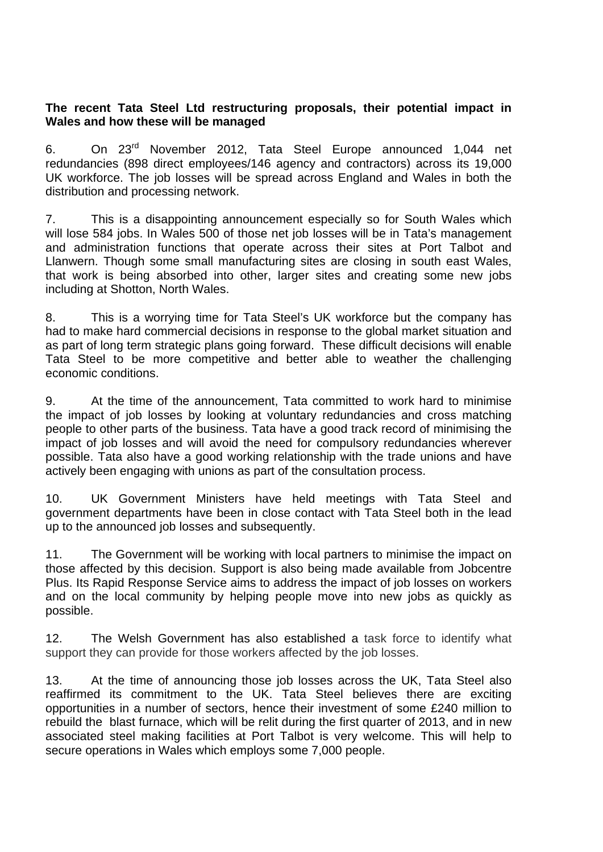## **The recent Tata Steel Ltd restructuring proposals, their potential impact in Wales and how these will be managed**

6. On 23rd November 2012, Tata Steel Europe announced 1,044 net redundancies (898 direct employees/146 agency and contractors) across its 19,000 UK workforce. The job losses will be spread across England and Wales in both the distribution and processing network.

7. This is a disappointing announcement especially so for South Wales which will lose 584 jobs. In Wales 500 of those net job losses will be in Tata's management and administration functions that operate across their sites at Port Talbot and Llanwern. Though some small manufacturing sites are closing in south east Wales, that work is being absorbed into other, larger sites and creating some new jobs including at Shotton, North Wales.

8. This is a worrying time for Tata Steel's UK workforce but the company has had to make hard commercial decisions in response to the global market situation and as part of long term strategic plans going forward. These difficult decisions will enable Tata Steel to be more competitive and better able to weather the challenging economic conditions.

9. At the time of the announcement, Tata committed to work hard to minimise the impact of job losses by looking at voluntary redundancies and cross matching people to other parts of the business. Tata have a good track record of minimising the impact of job losses and will avoid the need for compulsory redundancies wherever possible. Tata also have a good working relationship with the trade unions and have actively been engaging with unions as part of the consultation process.

10. UK Government Ministers have held meetings with Tata Steel and government departments have been in close contact with Tata Steel both in the lead up to the announced job losses and subsequently.

11. The Government will be working with local partners to minimise the impact on those affected by this decision. Support is also being made available from Jobcentre Plus. Its Rapid Response Service aims to address the impact of job losses on workers and on the local community by helping people move into new jobs as quickly as possible.

12. The Welsh Government has also established a task force to identify what support they can provide for those workers affected by the job losses.

13. At the time of announcing those job losses across the UK, Tata Steel also reaffirmed its commitment to the UK. Tata Steel believes there are exciting opportunities in a number of sectors, hence their investment of some £240 million to rebuild the blast furnace, which will be relit during the first quarter of 2013, and in new associated steel making facilities at Port Talbot is very welcome. This will help to secure operations in Wales which employs some 7,000 people.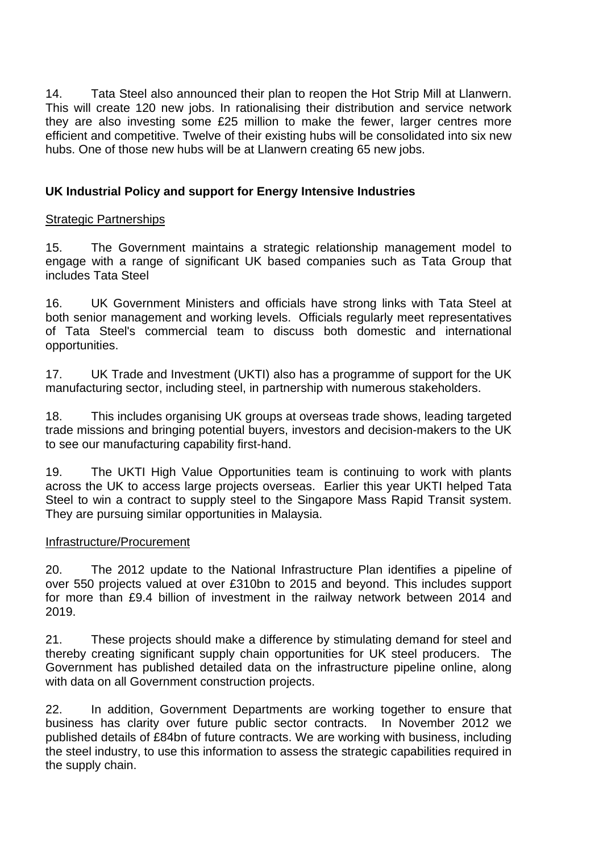14. Tata Steel also announced their plan to reopen the Hot Strip Mill at Llanwern. This will create 120 new jobs. In rationalising their distribution and service network they are also investing some £25 million to make the fewer, larger centres more efficient and competitive. Twelve of their existing hubs will be consolidated into six new hubs. One of those new hubs will be at Llanwern creating 65 new jobs.

# **UK Industrial Policy and support for Energy Intensive Industries**

## Strategic Partnerships

15. The Government maintains a strategic relationship management model to engage with a range of significant UK based companies such as Tata Group that includes Tata Steel

16. UK Government Ministers and officials have strong links with Tata Steel at both senior management and working levels. Officials regularly meet representatives of Tata Steel's commercial team to discuss both domestic and international opportunities.

17. UK Trade and Investment (UKTI) also has a programme of support for the UK manufacturing sector, including steel, in partnership with numerous stakeholders.

18. This includes organising UK groups at overseas trade shows, leading targeted trade missions and bringing potential buyers, investors and decision-makers to the UK to see our manufacturing capability first-hand.

19. The UKTI High Value Opportunities team is continuing to work with plants across the UK to access large projects overseas. Earlier this year UKTI helped Tata Steel to win a contract to supply steel to the Singapore Mass Rapid Transit system. They are pursuing similar opportunities in Malaysia.

## Infrastructure/Procurement

20. The 2012 update to the National Infrastructure Plan identifies a pipeline of over 550 projects valued at over £310bn to 2015 and beyond. This includes support for more than £9.4 billion of investment in the railway network between 2014 and 2019.

21. These projects should make a difference by stimulating demand for steel and thereby creating significant supply chain opportunities for UK steel producers. The Government has published detailed data on the infrastructure pipeline online, along with data on all Government construction projects.

22. In addition, Government Departments are working together to ensure that business has clarity over future public sector contracts. In November 2012 we published details of £84bn of future contracts. We are working with business, including the steel industry, to use this information to assess the strategic capabilities required in the supply chain.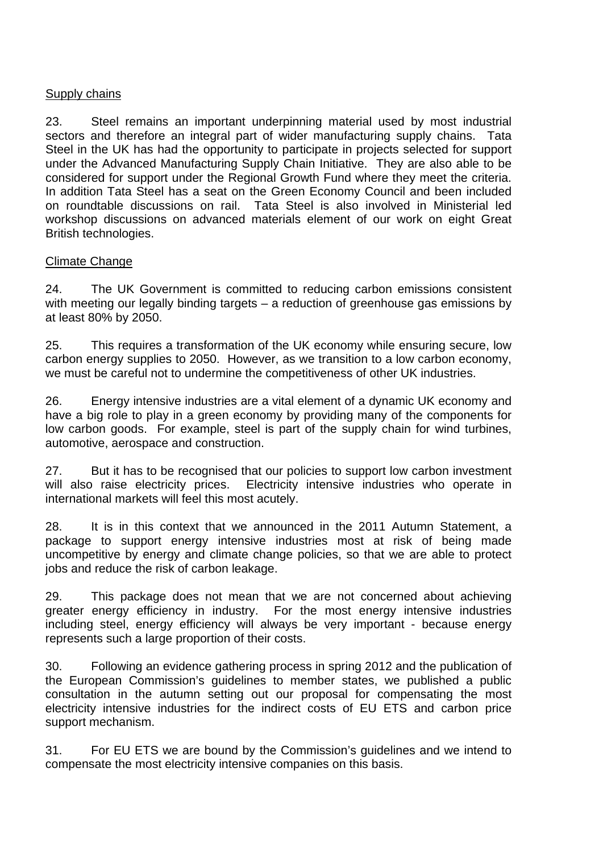## Supply chains

23. Steel remains an important underpinning material used by most industrial sectors and therefore an integral part of wider manufacturing supply chains. Tata Steel in the UK has had the opportunity to participate in projects selected for support under the Advanced Manufacturing Supply Chain Initiative. They are also able to be considered for support under the Regional Growth Fund where they meet the criteria. In addition Tata Steel has a seat on the Green Economy Council and been included on roundtable discussions on rail. Tata Steel is also involved in Ministerial led workshop discussions on advanced materials element of our work on eight Great British technologies.

#### Climate Change

24. The UK Government is committed to reducing carbon emissions consistent with meeting our legally binding targets – a reduction of greenhouse gas emissions by at least 80% by 2050.

25. This requires a transformation of the UK economy while ensuring secure, low carbon energy supplies to 2050. However, as we transition to a low carbon economy, we must be careful not to undermine the competitiveness of other UK industries.

26. Energy intensive industries are a vital element of a dynamic UK economy and have a big role to play in a green economy by providing many of the components for low carbon goods. For example, steel is part of the supply chain for wind turbines, automotive, aerospace and construction.

27. But it has to be recognised that our policies to support low carbon investment will also raise electricity prices. Electricity intensive industries who operate in international markets will feel this most acutely.

28. It is in this context that we announced in the 2011 Autumn Statement, a package to support energy intensive industries most at risk of being made uncompetitive by energy and climate change policies, so that we are able to protect jobs and reduce the risk of carbon leakage.

29. This package does not mean that we are not concerned about achieving greater energy efficiency in industry. For the most energy intensive industries including steel, energy efficiency will always be very important - because energy represents such a large proportion of their costs.

30. Following an evidence gathering process in spring 2012 and the publication of the European Commission's guidelines to member states, we published a public consultation in the autumn setting out our proposal for compensating the most electricity intensive industries for the indirect costs of EU ETS and carbon price support mechanism.

31. For EU ETS we are bound by the Commission's guidelines and we intend to compensate the most electricity intensive companies on this basis.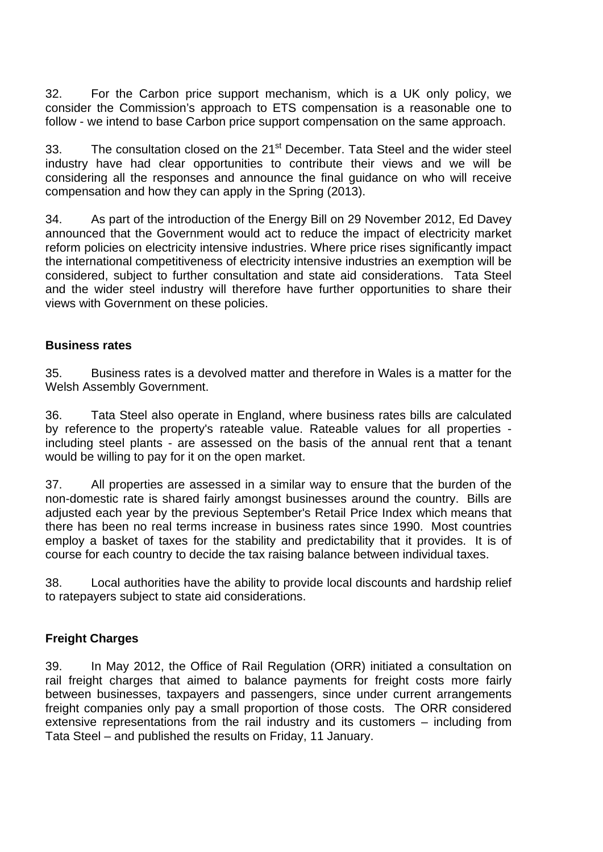32. For the Carbon price support mechanism, which is a UK only policy, we consider the Commission's approach to ETS compensation is a reasonable one to follow - we intend to base Carbon price support compensation on the same approach.

33. The consultation closed on the 21<sup>st</sup> December. Tata Steel and the wider steel industry have had clear opportunities to contribute their views and we will be considering all the responses and announce the final guidance on who will receive compensation and how they can apply in the Spring (2013).

34. As part of the introduction of the Energy Bill on 29 November 2012, Ed Davey announced that the Government would act to reduce the impact of electricity market reform policies on electricity intensive industries. Where price rises significantly impact the international competitiveness of electricity intensive industries an exemption will be considered, subject to further consultation and state aid considerations. Tata Steel and the wider steel industry will therefore have further opportunities to share their views with Government on these policies.

#### **Business rates**

35. Business rates is a devolved matter and therefore in Wales is a matter for the Welsh Assembly Government.

36. Tata Steel also operate in England, where business rates bills are calculated by reference to the property's rateable value. Rateable values for all properties including steel plants - are assessed on the basis of the annual rent that a tenant would be willing to pay for it on the open market.

37. All properties are assessed in a similar way to ensure that the burden of the non-domestic rate is shared fairly amongst businesses around the country. Bills are adjusted each year by the previous September's Retail Price Index which means that there has been no real terms increase in business rates since 1990. Most countries employ a basket of taxes for the stability and predictability that it provides. It is of course for each country to decide the tax raising balance between individual taxes.

38. Local authorities have the ability to provide local discounts and hardship relief to ratepayers subject to state aid considerations.

## **Freight Charges**

39. In May 2012, the Office of Rail Regulation (ORR) initiated a consultation on rail freight charges that aimed to balance payments for freight costs more fairly between businesses, taxpayers and passengers, since under current arrangements freight companies only pay a small proportion of those costs. The ORR considered extensive representations from the rail industry and its customers – including from Tata Steel – and published the results on Friday, 11 January.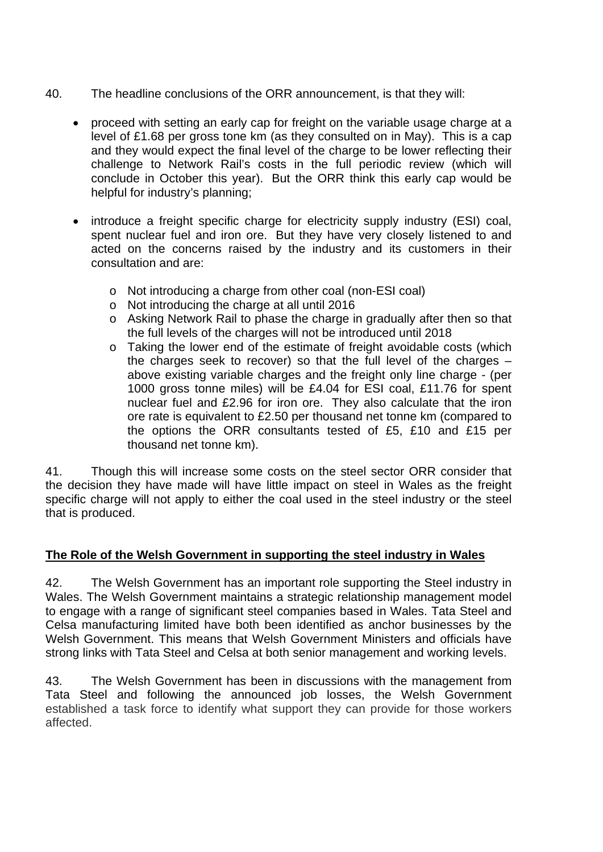- 40. The headline conclusions of the ORR announcement, is that they will:
	- proceed with setting an early cap for freight on the variable usage charge at a level of £1.68 per gross tone km (as they consulted on in May). This is a cap and they would expect the final level of the charge to be lower reflecting their challenge to Network Rail's costs in the full periodic review (which will conclude in October this year). But the ORR think this early cap would be helpful for industry's planning;
	- introduce a freight specific charge for electricity supply industry (ESI) coal, spent nuclear fuel and iron ore. But they have very closely listened to and acted on the concerns raised by the industry and its customers in their consultation and are:
		- o Not introducing a charge from other coal (non-ESI coal)
		- o Not introducing the charge at all until 2016
		- o Asking Network Rail to phase the charge in gradually after then so that the full levels of the charges will not be introduced until 2018
		- o Taking the lower end of the estimate of freight avoidable costs (which the charges seek to recover) so that the full level of the charges – above existing variable charges and the freight only line charge - (per 1000 gross tonne miles) will be £4.04 for ESI coal, £11.76 for spent nuclear fuel and £2.96 for iron ore. They also calculate that the iron ore rate is equivalent to £2.50 per thousand net tonne km (compared to the options the ORR consultants tested of £5, £10 and £15 per thousand net tonne km).

41. Though this will increase some costs on the steel sector ORR consider that the decision they have made will have little impact on steel in Wales as the freight specific charge will not apply to either the coal used in the steel industry or the steel that is produced.

# **The Role of the Welsh Government in supporting the steel industry in Wales**

42. The Welsh Government has an important role supporting the Steel industry in Wales. The Welsh Government maintains a strategic relationship management model to engage with a range of significant steel companies based in Wales. Tata Steel and Celsa manufacturing limited have both been identified as anchor businesses by the Welsh Government. This means that Welsh Government Ministers and officials have strong links with Tata Steel and Celsa at both senior management and working levels.

43. The Welsh Government has been in discussions with the management from Tata Steel and following the announced job losses, the Welsh Government established a task force to identify what support they can provide for those workers affected.